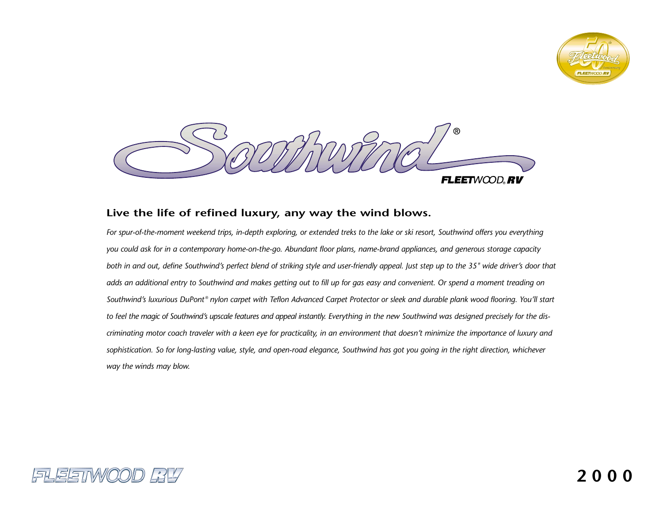



# **Live the life of refined luxury, any way the wind blows.**

*For spur-of-the-moment weekend trips, in-depth exploring, or extended treks to the lake or ski resort, Southwind offers you everything you could ask for in a contemporary home-on-the-go. Abundant floor plans, name-brand appliances, and generous storage capacity both in and out, define Southwind's perfect blend of striking style and user-friendly appeal. Just step up to the 35" wide driver's door that adds an additional entry to Southwind and makes getting out to fill up for gas easy and convenient. Or spend a moment treading on Southwind's luxurious DuPont ® nylon carpet with Teflon Advanced Carpet Protector or sleek and durable plank wood flooring. You'll start to feel the magic of Southwind's upscale features and appeal instantly. Everything in the new Southwind was designed precisely for the discriminating motor coach traveler with a keen eye for practicality, in an environment that doesn't minimize the importance of luxury and sophistication. So for long-lasting value, style, and open-road elegance, Southwind has got you going in the right direction, whichever way the winds may blow.* 

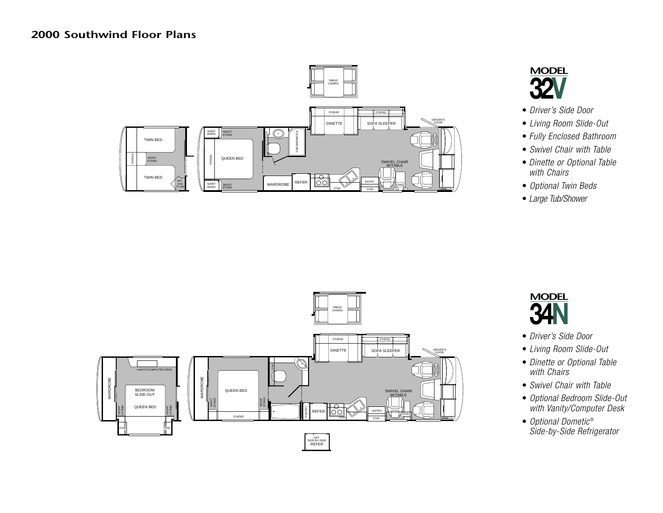# **2000 Southwind Floor Plans**





- *Driver's Side Door*
- *Living Room Slide-Out*
- *Fully Enclosed Bathroom*
- *Swivel Chair with Table*
- *Dinette or Optional Table with Chairs*
- *Optional Twin Beds*
- *Large Tub/Shower*





- *Driver's Side Door*
- *Living Room Slide-Out*
- *Dinette or Optional Table with Chairs*
- *Swivel Chair with Table*
- *Optional Bedroom Slide-Out with Vanity/Computer Desk*
- *Optional Dometic* ® *Side-by-Side Refrigerator*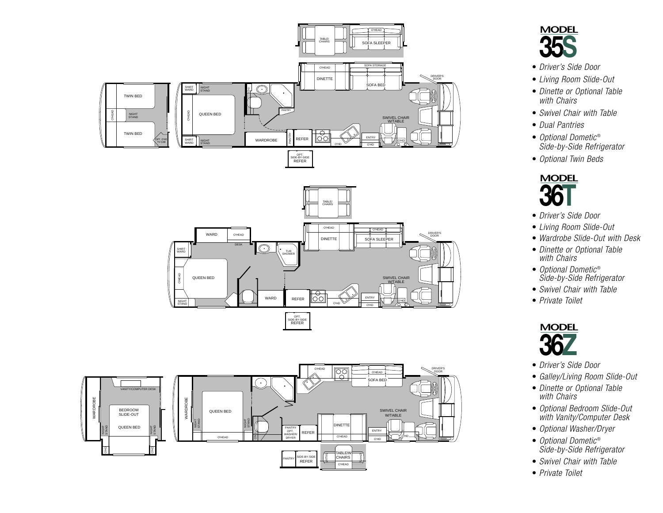





- *Driver's Side Door*
- *Living Room Slide-Out*
- *Dinette or Optional Table with Chairs*
- *Swivel Chair with Table*
- *Dual Pantries*
- *Optional Dometic* ® *Side-by-Side Refrigerator*
- *Optional Twin Beds*



- *Driver's Side Door*
- *Living Room Slide-Out*
- *Wardrobe Slide-Out with Desk*
- *Dinette or Optional Table with Chairs*
- *Optional Dometic* ® *Side-by-Side Refrigerator*
- *Swivel Chair with Table*
- *Private Toilet*



- *Driver's Side Door*
- *Galley/Living Room Slide-Out*
- *Dinette or Optional Table with Chairs*
- *Optional Bedroom Slide-Out with Vanity/Computer Desk*
- *Optional Washer/Dryer*
- *Optional Dometic* ® *Side-by-Side Refrigerator*
- *Swivel Chair with Table*
- *Private Toilet*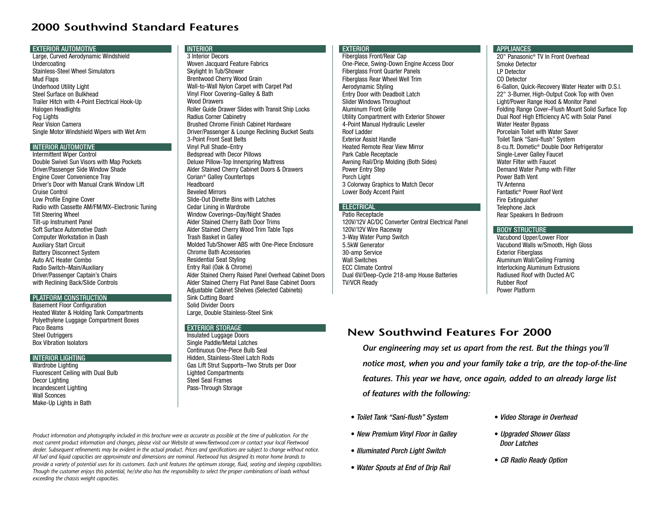# **2000 Southwind Standard Features**

#### EXTERIOR AUTOMOTIVE

Large, Curved Aerodynamic Windshield Undercoating Stainless-Steel Wheel SimulatorsMud Flaps Underhood Utility Light Steel Surface on BulkheadTrailer Hitch with 4-Point Electrical Hook-Up Halogen Headlights Fog Lights Rear Vision CameraSingle Motor Windshield Wipers with Wet Arm

## INTERIOR AUTOMOTIVE

Intermittent Wiper Control Double Swivel Sun Visors with Map Pockets Driver/Passenger Side Window Shade Engine Cover Convenience Tray Driver's Door with Manual Crank Window LiftCruise Control Low Profile Engine Cover Radio with Cassette AM/FM/MX–Electronic Tuning Tilt Steering Wheel Tilt-up Instrument Panel Soft Surface Automotive DashComputer Workstation in Dash Auxiliary Start Circuit Battery Disconnect System Auto A/C Heater Combo Radio Switch–Main/Auxiliary Driver/Passenger Captain's Chairs with Reclining Back/Slide Controls

## PLATFORM CONSTRUCTION

 Basement Floor Configuration Heated Water & Holding Tank Compartments Polyethylene Luggage Compartment Boxes Paco Beams Steel Outriggers Box Vibration Isolators

#### INTERIOR LIGHTING

Wardrobe Lighting Fluorescent Ceiling with Dual Bulb Decor Lighting Incandescent Lighting Wall SconcesMake-Up Lights in Bath

## INTERIOR

 3 Interior Decors Woven Jacquard Feature Fabrics Skylight In Tub/Shower Brentwood Cherry Wood Grain Wall-to-Wall Nylon Carpet with Carpet Pad Vinyl Floor Covering–Galley & Bath Wood Drawers Roller Guide Drawer Slides with Transit Ship Locks Radius Corner Cabinetry Brushed Chrome Finish Cabinet Hardware Driver/Passenger & Lounge Reclining Bucket Seats 3-Point Front Seat Belts Vinyl Pull Shade–Entry Bedspread with Decor Pillows Deluxe Pillow-Top Innerspring Mattress Alder Stained Cherry Cabinet Doors & Drawers Corian® Galley Countertops Headboard Beveled Mirrors Slide-Out Dinette Bins with LatchesCedar Lining in Wardrobe Window Coverings–Day/Night Shades Alder Stained Cherry Bath Door Trims Alder Stained Cherry Wood Trim Table Tops Trash Basket in Galley Molded Tub/Shower ABS with One-Piece EnclosureChrome Bath AccessoriesResidential Seat Styling Entry Rail (Oak & Chrome) Alder Stained Cherry Raised Panel Overhead Cabinet Doors Alder Stained Cherry Flat Panel Base Cabinet Doors Adjustable Cabinet Shelves (Selected Cabinets) Sink Cutting Board Solid Divider DoorsLarge, Double Stainless-Steel Sink

## EXTERIOR STORAGE

 Insulated Luggage Doors Single Paddle/Metal Latches Continuous One-Piece Bulb SealHidden, Stainless-Steel Latch Rods Gas Lift Strut Supports–Two Struts per Door Lighted Compartments Steel Seal FramesPass-Through Storage

## **EXTERIOR**

 Fiberglass Front/Rear Cap One-Piece, Swing-Down Engine Access Door Fiberglass Front Quarter Panels Fiberglass Rear Wheel Well Trim Aerodynamic Styling Entry Door with Deadbolt Latch Slider Windows Throughout Aluminum Front GrilleUtility Compartment with Exterior Shower 4-Point Manual Hydraulic Leveler Roof Ladder Exterior Assist HandleHeated Remote Rear View MirrorPark Cable Receptacle Awning Rail/Drip Molding (Both Sides) Power Entry Step Porch Light 3 Colorway Graphics to Match Decor Lower Body Accent Paint

## ELECTRICAL

Patio Receptacle 120V/12V AC/DC Converter Central Electrical Panel 120V/12V Wire Raceway 3-Way Water Pump Switch 5.5kW Generator30-amp Service Wall Switches ECC Climate Control Dual 6V/Deep-Cycle 218-amp House Batteries TV/VCR Ready

#### **APPLIANCES**

20" Panasonic® TV In Front OverheadSmoke DetectorLP DetectorCO Detector6-Gallon, Quick-Recovery Water Heater with D.S.I. 22" 3-Burner, High-Output Cook Top with Oven Light/Power Range Hood & Monitor Panel Folding Range Cover–Flush Mount Solid Surface Top Dual Roof High Efficiency A/C with Solar Panel Water Heater Bypass Porcelain Toilet with Water SaverToilet Tank "Sani-flush" System 8-cu.ft. Dometic® Double Door Refrigerator Single-Lever Galley Faucet Water Filter with FaucetDemand Water Pump with Filter Power Bath VentTV AntennaFantastic® Power Roof VentFire Extinguisher Telephone Jack Rear Speakers In Bedroom

## BODY STRUCTURE

Vacubond Upper/Lower Floor Vacubond Walls w/Smooth, High Gloss Exterior Fiberglass Aluminum Wall/Ceiling Framing Interlocking Aluminum Extrusions Radiused Roof with Ducted A/CRubber RoofPower Platform

# **New Southwind Features For 2000**

*Our engineering may set us apart from the rest. But the things you'll notice most, when you and your family take a trip, are the top-of-the-line features. This year we have, once again, added to an already large list of features with the following:*

- *Toilet Tank "Sani-flush" System*
- *New Premium Vinyl Floor in Galley*
- *Illuminated Porch Light Switch*
- *Water Spouts at End of Drip Rail*
- *Video Storage in Overhead*
- *Upgraded Shower Glass Door Latches*
- *CB Radio Ready Option*

*Product information and photography included in this brochure were as accurate as possible at the time of publication. For the most current product information and changes, please visit our Website at www.fleetwood.com or contact your local Fleetwood dealer. Subsequent refinements may be evident in the actual product. Prices and specifications are subject to change without notice. All fuel and liquid capacities are approximate and dimensions are nominal. Fleetwood has designed its motor home brands to provide a variety of potential uses for its customers. Each unit features the optimum storage, fluid, seating and sleeping capabilities. Though the customer enjoys this potential, he/she also has the responsibility to select the proper combinations of loads without exceeding the chassis weight capacities.*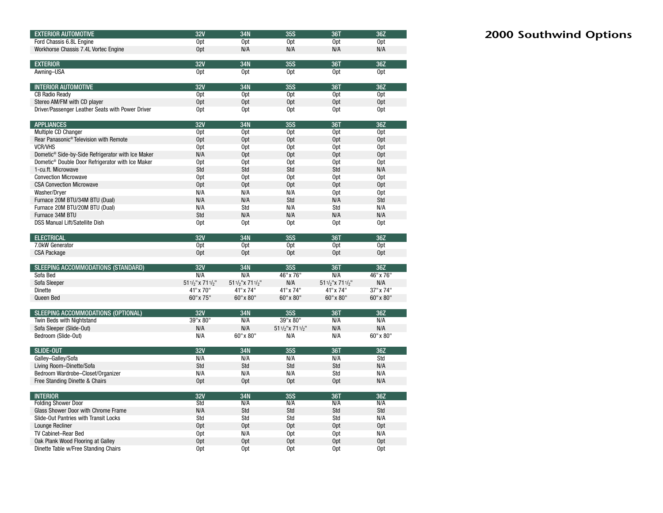| <b>EXTERIOR AUTOMOTIVE</b>                                        | 32V                   | 34N                  | <b>35S</b>             | 36T                   | 36Z             |
|-------------------------------------------------------------------|-----------------------|----------------------|------------------------|-----------------------|-----------------|
| Ford Chassis 6.8L Engine                                          | Opt                   | 0 <sub>pt</sub>      | Opt                    | Opt                   | Opt             |
| Workhorse Chassis 7.4L Vortec Engine                              | Opt                   | N/A                  | N/A                    | N/A                   | N/A             |
|                                                                   |                       |                      |                        |                       |                 |
| <b>EXTERIOR</b>                                                   | 32V                   | 34N                  | 35S                    | 36T                   | 36Z             |
| Awning-USA                                                        | Opt                   | Opt                  | 0pt                    | Opt                   | Opt             |
|                                                                   |                       |                      |                        |                       |                 |
| <b>INTERIOR AUTOMOTIVE</b>                                        | 32V                   | 34N                  | <b>35S</b>             | 36T                   | 36Z             |
| <b>CB Radio Ready</b>                                             | Opt                   | Opt                  | Opt                    | Opt                   | Opt             |
| Stereo AM/FM with CD player                                       | Opt                   | Opt                  | Opt                    | Opt                   | 0 <sub>pt</sub> |
| Driver/Passenger Leather Seats with Power Driver                  | Opt                   | Opt                  | 0 <sub>pt</sub>        | Opt                   | Opt             |
|                                                                   |                       |                      |                        |                       |                 |
| <b>APPLIANCES</b>                                                 | 32V                   | 34N                  | 35S                    | <b>36T</b>            | 36Z             |
| Multiple CD Changer                                               | Opt                   | Opt                  | Opt                    | Opt                   | Opt             |
| Rear Panasonic <sup>®</sup> Television with Remote                | Opt                   | Opt                  | Opt                    | Opt                   | Opt             |
| <b>VCR/VHS</b>                                                    | Opt                   | Opt                  | 0 <sub>pt</sub>        | Opt                   | Opt             |
| Dometic <sup>®</sup> Side-by-Side Refrigerator with Ice Maker     | N/A                   | Opt                  | Opt                    | Opt                   | Opt             |
| Dometic <sup>®</sup> Double Door Refrigerator with Ice Maker      | Opt                   | Opt                  | 0pt                    | Opt                   | Opt             |
| 1-cu.ft. Microwave                                                | Std                   | Std                  | Std                    | Std                   | N/A             |
| <b>Convection Microwave</b>                                       | Opt                   | Opt                  | Opt                    | Opt                   | Opt             |
| <b>CSA Convection Microwave</b>                                   | Opt                   | Opt                  | Opt                    | Opt                   | Opt             |
| Washer/Dryer                                                      | N/A                   | N/A                  | N/A                    | Opt                   | Opt             |
| Furnace 20M BTU/34M BTU (Dual)                                    | N/A                   | N/A                  | Std                    | N/A                   | Std             |
| Furnace 20M BTU/20M BTU (Dual)                                    | N/A                   | Std                  | N/A                    | Std                   | N/A             |
| Furnace 34M BTU                                                   | Std                   | N/A                  | N/A                    | N/A                   | N/A             |
| <b>DSS Manual Lift/Satellite Dish</b>                             | Opt                   | Opt                  | 0 <sub>pt</sub>        | Opt                   | Opt             |
|                                                                   |                       |                      |                        |                       |                 |
| <b>ELECTRICAL</b>                                                 | 32V                   | 34N                  | <b>35S</b>             | 36T                   | 36Z             |
| 7.0kW Generator                                                   | Opt                   | Opt                  | Opt                    | Opt                   | Opt             |
| <b>CSA Package</b>                                                | Opt                   | Opt                  | Opt                    | Opt                   | Opt             |
|                                                                   |                       |                      |                        |                       |                 |
| SLEEPING ACCOMMODATIONS (STANDARD)                                | 32V                   | 34N                  | <b>35S</b>             | 36T                   | 36Z             |
| Sofa Bed                                                          | N/A                   | N/A                  | 46" x 76"              | N/A                   | 46" x 76"       |
| Sofa Sleeper                                                      | $511/2$ " x $711/2$ " | $511/2$ "x $711/2$ " | N/A                    | $511/2$ " x $711/2$ " | N/A             |
| Dinette                                                           | 41" x 70"             | 41" x 74"            | 41" x 74"              | 41" x 74"             | 37" x 74"       |
| Queen Bed                                                         | 60" x 75"             | 60" x 80"            | 60" x 80"              | 60" x 80"             | 60" x 80"       |
| SLEEPING ACCOMMODATIONS (OPTIONAL)                                | 32V                   | 34N                  | <b>35S</b>             | 36T                   | 36Z             |
| Twin Beds with Nightstand                                         | 39"x 80"              | N/A                  | 39"x 80"               | N/A                   | N/A             |
| Sofa Sleeper (Slide-Out)                                          | N/A                   | N/A                  | 511/2"x 711/2"         | N/A                   | N/A             |
| Bedroom (Slide-Out)                                               |                       |                      |                        |                       |                 |
|                                                                   |                       |                      |                        |                       |                 |
|                                                                   | N/A                   | 60" x 80"            | N/A                    | N/A                   | 60" x 80"       |
|                                                                   |                       |                      |                        |                       |                 |
| <b>SLIDE-OUT</b>                                                  | 32V                   | 34N                  | <b>35S</b>             | 36T                   | 36Z             |
| Galley-Galley/Sofa                                                | N/A                   | N/A                  | N/A                    | N/A                   | Std             |
| Living Room-Dinette/Sofa                                          | Std                   | Std                  | Std                    | Std                   | N/A             |
| Bedroom Wardrobe-Closet/Organizer                                 | N/A                   | N/A                  | N/A                    | Std                   | N/A             |
| Free Standing Dinette & Chairs                                    | Opt                   | Opt                  | 0 <sub>pt</sub>        | Opt                   | N/A             |
|                                                                   |                       |                      |                        |                       |                 |
| <b>INTERIOR</b>                                                   | 32V<br>Std            | 34N<br>N/A           | 35S<br>N/A             | <b>36T</b><br>N/A     | 36Z<br>N/A      |
| <b>Folding Shower Door</b><br>Glass Shower Door with Chrome Frame | N/A                   | Std                  | Std                    | Std                   | Std             |
| Slide-Out Pantries with Transit Locks                             | Std                   | Std                  | Std                    | Std                   | N/A             |
| Lounge Recliner                                                   | Opt                   | Opt                  | Opt                    | Opt                   | 0 <sub>pt</sub> |
|                                                                   |                       |                      |                        |                       |                 |
| TV Cabinet-Rear Bed<br>Oak Plank Wood Flooring at Galley          | Opt<br>Opt            | N/A<br>Opt           | Opt<br>0 <sub>pt</sub> | Opt<br>Opt            | N/A<br>Opt      |
| Dinette Table w/Free Standing Chairs                              | 0pt                   | 0 <sub>pt</sub>      | 0pt                    | 0 <sub>pt</sub>       | Opt             |

# **2000 Southwind Options**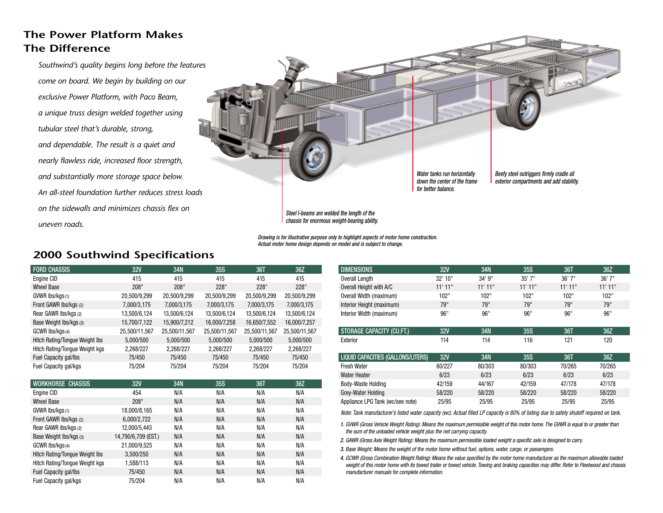# **The Power Platform Makes The Difference**

*Southwind's quality begins long before the features come on board. We begin by building on our exclusive Power Platform, with Paco Beam, a unique truss design welded together using tubular steel that's durable, strong, and dependable. The result is a quiet and nearly flawless ride, increased floor strength, and substantially more storage space below. An all-steel foundation further reduces stress loads on the sidewalls and minimizes chassis flex onuneven roads.*



*Drawing is for illustrative purpose only to highlight aspects of motor home construction. Actual motor home design depends on model and is subject to change.*

# **2000 Southwind Specifications**

| <b>FORD CHASSIS</b>                   | 32V           | 34N           | <b>35S</b>    | <b>36T</b>    | 36Z           |
|---------------------------------------|---------------|---------------|---------------|---------------|---------------|
| Engine CID                            | 415           | 415           | 415           | 415           | 415           |
| <b>Wheel Base</b>                     | 208"          | 208"          | 228"          | 228"          | 228"          |
| GVWR Ibs/kgs(1)                       | 20,500/9,299  | 20,500/9,299  | 20,500/9,299  | 20,500/9,299  | 20,500/9,299  |
| Front GAWR Ibs/kgs (2)                | 7,000/3,175   | 7,000/3,175   | 7,000/3,175   | 7,000/3,175   | 7,000/3,175   |
| Rear GAWR Ibs/kgs (2)                 | 13,500/6,124  | 13,500/6,124  | 13,500/6,124  | 13,500/6,124  | 13,500/6,124  |
| Base Weight Ibs/kgs (3)               | 15,700/7,122  | 15,900/7,212  | 16,000/7,258  | 16,650/7,552  | 16,000/7,257  |
| GCWR Ibs/kgs(4)                       | 25,500/11,567 | 25,500/11,567 | 25,500/11,567 | 25,500/11,567 | 25,500/11,567 |
| <b>Hitch Rating/Tonque Weight Ibs</b> | 5.000/500     | 5.000/500     | 5.000/500     | 5.000/500     | 5,000/500     |
| Hitch Rating/Tongue Weight kgs        | 2,268/227     | 2,268/227     | 2,268/227     | 2,268/227     | 2,268/227     |
| Fuel Capacity gal/lbs                 | 75/450        | 75/450        | 75/450        | 75/450        | 75/450        |
| Fuel Capacity gal/kgs                 | 75/204        | 75/204        | 75/204        | 75/204        | 75/204        |
|                                       |               |               |               |               |               |
| <b>WORKHORSE CHASSIS</b>              | <b>32V</b>    | 34N           | <b>35S</b>    | 36T           | 36Z           |
| Engine CID                            | 454           | N/A           | N/A           | N/A           | N/A           |
| <b>Wheel Base</b>                     | 208"          | N/A           | N/A           | N/A           | N/A           |

| Wheel Base                     | 208"                | N/A | N/A | N/A | N/A |
|--------------------------------|---------------------|-----|-----|-----|-----|
| GVWR Ibs/kgs(1)                | 18,000/8,165        | N/A | N/A | N/A | N/A |
| Front GAWR Ibs/kgs (2)         | 6,000/2,722         | N/A | N/A | N/A | N/A |
| Rear GAWR Ibs/kgs (2)          | 12,000/5,443        | N/A | N/A | N/A | N/A |
| Base Weight Ibs/kgs (3)        | 14,790/6,709 (EST.) | N/A | N/A | N/A | N/A |
| GCWR Ibs/kgs(4)                | 21,000/9,525        | N/A | N/A | N/A | N/A |
| Hitch Rating/Tongue Weight Ibs | 3.500/250           | N/A | N/A | N/A | N/A |
| Hitch Rating/Tongue Weight kgs | 1,588/113           | N/A | N/A | N/A | N/A |
| Fuel Capacity gal/lbs          | 75/450              | N/A | N/A | N/A | N/A |
| Fuel Capacity gal/kgs          | 75/204              | N/A | N/A | N/A | N/A |

| <b>DIMENSIONS</b>                         | 32V       | 34N    | <b>35S</b> | 36T       | 36Z       |
|-------------------------------------------|-----------|--------|------------|-----------|-----------|
| Overall Length                            | 32' 10"   | 34'9'' | $35'$ 7"   | 36'7''    | 36'7''    |
| Overall Height with A/C                   | $11'$ 11" | 11'11" | $11'$ 11"  | $11'$ 11" | $11'$ 11" |
| Overall Width (maximum)                   | 102"      | 102"   | 102"       | 102"      | 102"      |
| Interior Height (maximum)                 | 79"       | 79"    | 79"        | 79"       | 79"       |
| Interior Width (maximum)                  | 96"       | 96"    | 96"        | 96"       | 96"       |
|                                           |           |        |            |           |           |
| STORAGE CAPACITY (CU.FT.)                 | 32V       | 34N    | 35S        | 36T       | 36Z       |
| Exterior                                  | 114       | 114    | 116        | 121       | 120       |
|                                           |           |        |            |           |           |
| <b>LIQUID CAPACITIES (GALLONS/LITERS)</b> | 32V       | 34N    | <b>35S</b> | 36T       | 36Z       |

| LIQUID ON AUTILO (UALLUNO/LITLIN) | <b>JLV</b> | ודי    | ึงงง   | บบเ    | <b>JUL</b> |
|-----------------------------------|------------|--------|--------|--------|------------|
| <b>Fresh Water</b>                | 60/227     | 80/303 | 80/303 | 70/265 | 70/265     |
| Water Heater                      | 6/23       | 6/23   | 6/23   | 6/23   | 6/23       |
| Body-Waste Holding                | 42/159     | 44/167 | 42/159 | 47/178 | 47/178     |
| Grey-Water Holding                | 58/220     | 58/220 | 58/220 | 58/220 | 58/220     |
| Appliance LPG Tank (wc/see note)  | 25/95      | 25/95  | 25/95  | 25/95  | 25/95      |

*Note: Tank manufacturer's listed water capacity (wc). Actual filled LP capacity is 80% of listing due to safety shutoff required on tank.*

*1. GVWR (Gross Vehicle Weight Rating): Means the maximum permissible weight of this motor home. The GVWR is equal to or greater than the sum of the unloaded vehicle weight plus the net carrying capacity.*

*2. GAWR (Gross Axle Weight Rating): Means the maximum permissible loaded weight a specific axle is designed to carry.*

*3. Base Weight: Means the weight of the motor home without fuel, options, water, cargo, or passengers.*

*4. GCWR (Gross Combination Weight Rating): Means the value specified by the motor home manufacturer as the maximum allowable loaded* weight of this motor home with its towed trailer or towed vehicle. Towing and braking capacities may differ. Refer to Fleetwood and chassis *manufacturer manuals for complete information.*